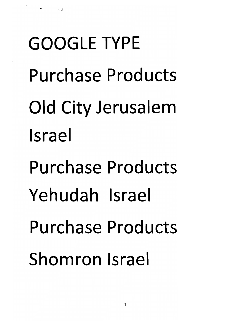*GOOGLE TYPE Purchase Products Old City Jerusalem Israel Purchase Products Yehudah Israel Purchase Products Shomron Israel*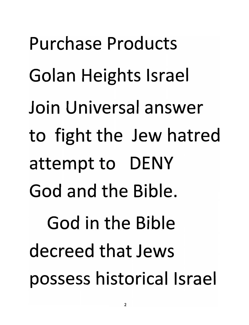Purchase Products Golan Heights Israel Join Universal answer to fight the Jew hatred attempt to DENY God and the Bible. God in the Bible decreed that Jews possess historical Israel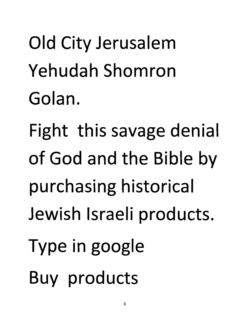*Old City Jerusalem Yehudah Shomron Golan.*

*Fight this savage denial of God and the Bible by purchasing historical Jewish Israeli products. Type in google Buy products*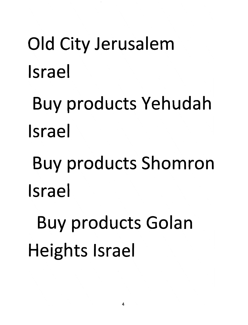## *Old City Jerusalem Israel*

*Buy products Yehudah Israel*

*Buy products Shomron Israel*

*Buy products Golan Heights Israel*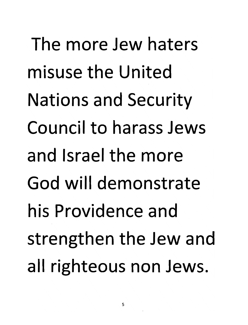The more Jew haters misuse the United Nations and Security Council to harass Jews and Israel the more God will demonstrate his Providence and strengthen the Jew and all righteous non Jews.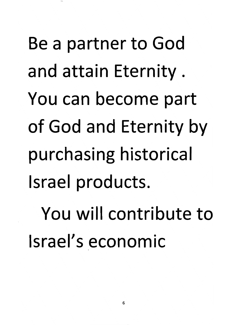Be a partner to God and attain Eternity. You can become part of God and Eternity by purchasing historical Israel products. You will contribute to Israel's economic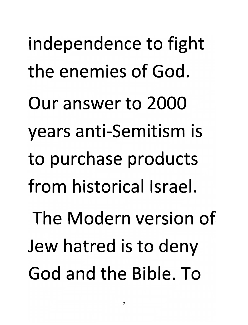independence to fight the enemies of God. Our answer to 2000 years anti-Semitism is to purchase products from historical Israel. The Modern version of Jew hatred is to deny God and the Bible. To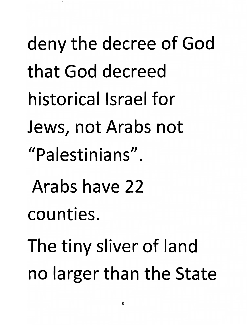*deny the decree of God that God decreed historical Israel for Jews, not Arabs not "Palestinians". Arabs have 22 counties. Thetiny sliver of land no larger than the State*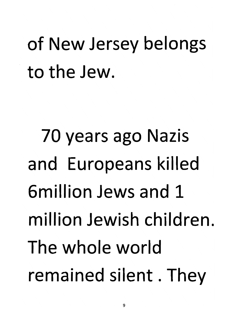*of New Jersey belongs to the Jew.*

*70 years ago Nazis and Europeans killed 6million Jews and 1 million Jewish children The whole world remained silent. They*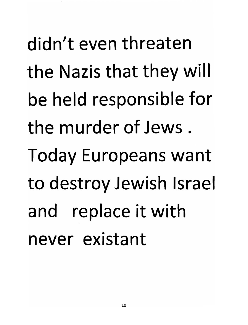didn't even threaten the Nazis that they will be held responsible for the murder of Jews . Today Europeans want to destroy Jewish Israel and replace it with never existant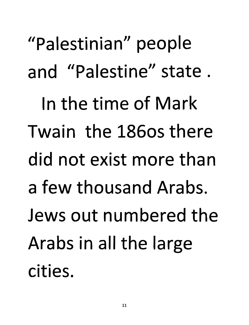"Palestinian" people and "Palestine" state. In the time of Mark Twain the 186os there did not exist more than a few thousand Arabs. Jews out numbered the Arabs in all the large cities.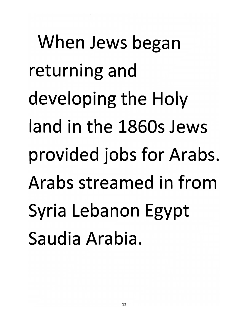*When Jews began returning and developing the Holy land in the 1860s Jews provided jobs for Arabs, Arabs streamed in from Syria Lebanon Egypt Saudia Arabia.*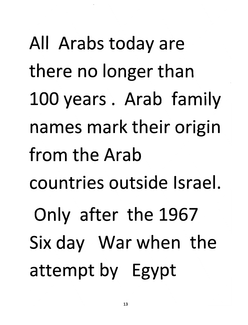All Arabs today are there no longer than 100years. Arab family names mark their origin from the Arab countries outside Israel. Only after the 1967 Six day War when the attempt by Egypt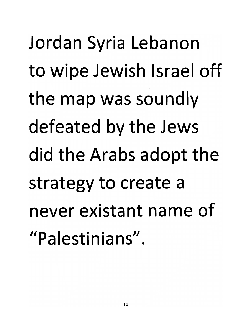Jordan Syria Lebanon to wipe Jewish Israel off the map was soundly defeated by the Jews did the Arabs adopt the strategy to create a never existant name of "Palestinians".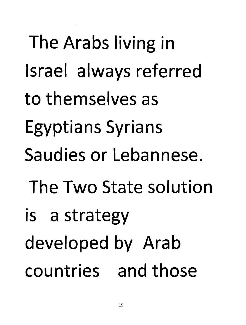The Arabs living in Israel always referred to themselves as Egyptians Syrians Saudies or Lebannese. The Two State solution is a strategy developed by Arab countries and those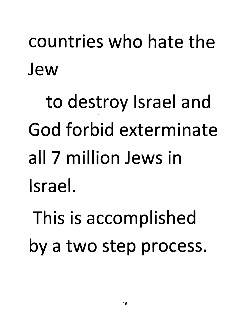## *countries who hate the Jew*

*to destroy Israel and God forbid exterminate all 7 million Jews in Israel.*

*This is accomplished by a two step process.*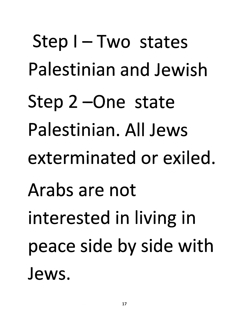*Step I-Two states Palestinian and Jewish Step 2 -One state Palestinian. All Jews exterminated or exiled. Arabs are not interested in living in peace side by side with Jews.*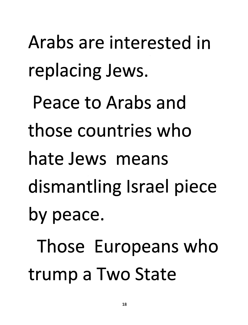Arabs are interested in replacing Jews.

Peace to Arabs and

those countries who

hate Jews means

dismantling Israel piece

by peace.

Those Europeans who trump a Two State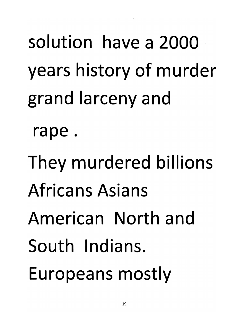solution have a 2000 years history of murder grand larceny and

rape.

They murdered billions Africans Asians American North and South Indians. Europeans mostly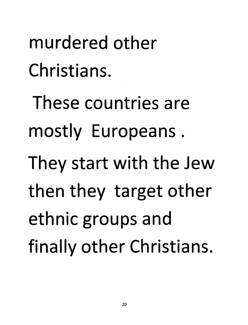*murdered other Christians. These countries are mostly Europeans. They start with the Jew then they target other ethnic groups and finally other Christians.*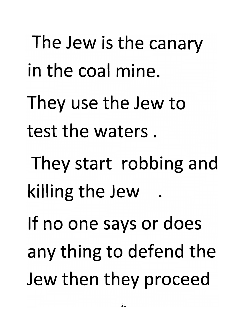The Jew is the canary in the coal mine. They use the Jew to test the waters. They start robbing and killing the Jew . If no one says or does any thing to defend the Jew then they proceed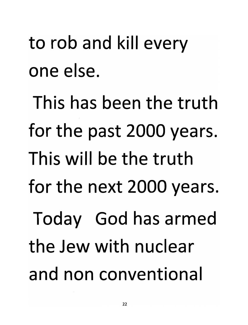## to rob and kill every one else.

This has been the truth for the past 2000 years. This will be the truth for the next 2000 years. Today God has armed the Jew with nuclear and non conventional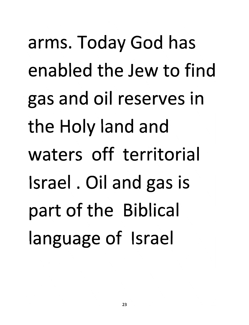arms. Today God has enabled the Jew to find gas and oil reserves in the Holy land and waters off territorial Israel. Oil and gas is part of the Biblical language of Israel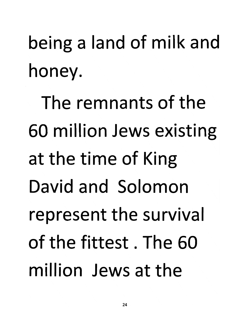being a land of milk and honey.

The remnants of the 60 million Jews existing at the time of King David and Solomon represent the survival of the fittest. The 60 million Jews at the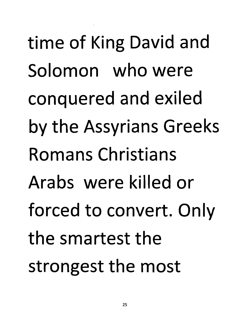time of King David and Solomon who were conquered and exiled by the Assyrians Greeks Romans Christians Arabs were killed or forced to convert. Only the smartest the strongest the most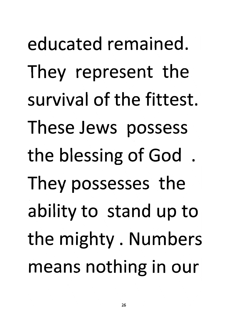educated remained. They represent the survival of the fittest. These Jews possess the blessing of God . They possesses the ability to stand up to the mighty. Numbers means nothing in our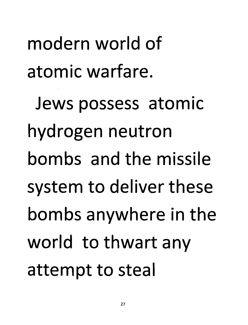modern world of atomic warfare.

Jews possess atomic hydrogen neutron bombs and the missile system to deliver these bombs anywhere in the world to thwart any attempt to steal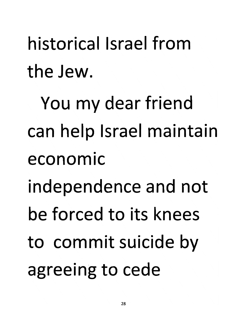historical Israel from the Jew.

You my dear friend can help Israel maintain economic independence and not be forced to its knees to commit suicide by agreeing to cede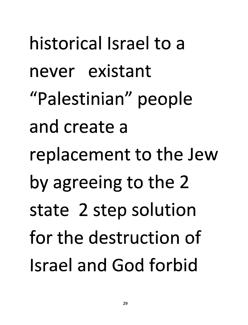historical Israel to a never existant "Palestinian" people and create a replacement to the Jew by agreeing to the 2 state 2 step solution for the destruction of Israel and God forbid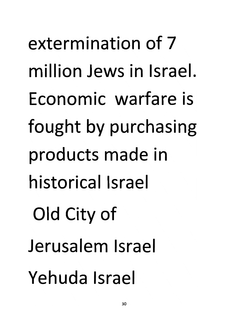*extermination of <sup>7</sup> million Jews in Israel. Economic warfare is fought by purchasing products made in historical Israel Old City of Jerusalem Israel Yehuda Israel*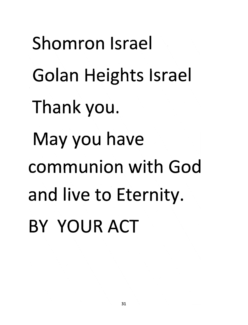*Shomron Israel Golan Heights Israel Thank you. May you have communion with God and live to Eternity. BY YOUR ACT*